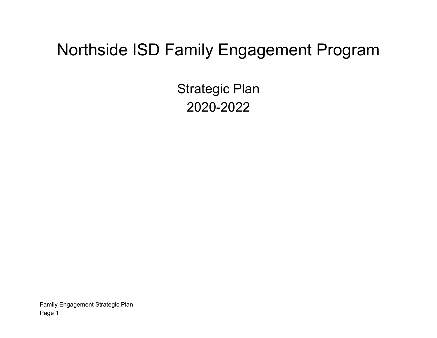# Northside ISD Family Engagement Program

Strategic Plan 2020-2022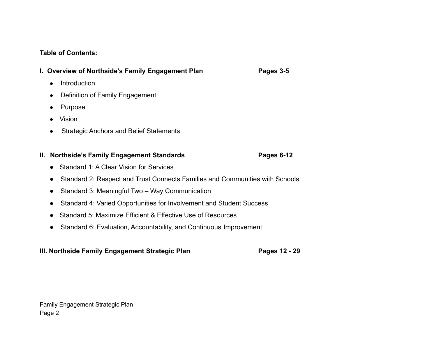#### **Table of Contents:**

#### **I. Overview of Northside's Family Engagement Plan Pages 3-5**

- Introduction
- Definition of Family Engagement
- Purpose
- Vision
- Strategic Anchors and Belief Statements

#### **II.** Northside's Family Engagement Standards **Pages 6-12**

- Standard 1: A Clear Vision for Services
- Standard 2: Respect and Trust Connects Families and Communities with Schools
- Standard 3: Meaningful Two Way Communication
- Standard 4: Varied Opportunities for Involvement and Student Success
- Standard 5: Maximize Efficient & Effective Use of Resources
- Standard 6: Evaluation, Accountability, and Continuous Improvement

#### **III. Northside Family Engagement Strategic Plan Pages 12 - 29**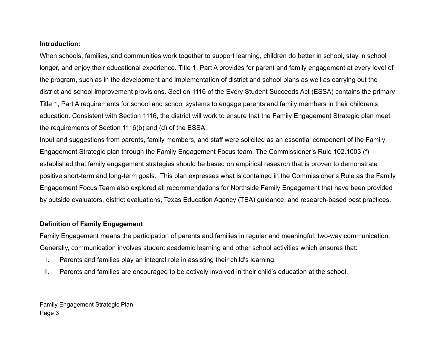#### **Introduction:**

When schools, families, and communities work together to support learning, children do better in school, stay in school longer, and enjoy their educational experience. Title 1, Part A provides for parent and family engagement at every level of the program, such as in the development and implementation of district and school plans as well as carrying out the district and school improvement provisions. Section 1116 of the Every Student Succeeds Act (ESSA) contains the primary Title 1, Part A requirements for school and school systems to engage parents and family members in their children's education. Consistent with Section 1116, the district will work to ensure that the Family Engagement Strategic plan meet the requirements of Section 1116(b) and (d) of the ESSA.

Input and suggestions from parents, family members, and staff were solicited as an essential component of the Family Engagement Strategic plan through the Family Engagement Focus team. The Commissioner's Rule 102.1003 (f) established that family engagement strategies should be based on empirical research that is proven to demonstrate positive short-term and long-term goals. This plan expresses what is contained in the Commissioner's Rule as the Family Engagement Focus Team also explored all recommendations for Northside Family Engagement that have been provided by outside evaluators, district evaluations, Texas Education Agency (TEA) guidance, and research-based best practices.

#### **Definition of Family Engagement**

Family Engagement means the participation of parents and families in regular and meaningful, two-way communication. Generally, communication involves student academic learning and other school activities which ensures that:

- I. Parents and families play an integral role in assisting their child's learning.
- II. Parents and families are encouraged to be actively involved in their child's education at the school.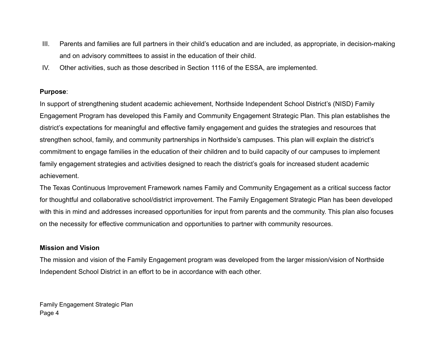- III. Parents and families are full partners in their child's education and are included, as appropriate, in decision-making and on advisory committees to assist in the education of their child.
- IV. Other activities, such as those described in Section 1116 of the ESSA, are implemented.

#### **Purpose**:

In support of strengthening student academic achievement, Northside Independent School District's (NISD) Family Engagement Program has developed this Family and Community Engagement Strategic Plan. This plan establishes the district's expectations for meaningful and effective family engagement and guides the strategies and resources that strengthen school, family, and community partnerships in Northside's campuses. This plan will explain the district's commitment to engage families in the education of their children and to build capacity of our campuses to implement family engagement strategies and activities designed to reach the district's goals for increased student academic achievement.

The Texas Continuous Improvement Framework names Family and Community Engagement as a critical success factor for thoughtful and collaborative school/district improvement. The Family Engagement Strategic Plan has been developed with this in mind and addresses increased opportunities for input from parents and the community. This plan also focuses on the necessity for effective communication and opportunities to partner with community resources.

#### **Mission and Vision**

The mission and vision of the Family Engagement program was developed from the larger mission/vision of Northside Independent School District in an effort to be in accordance with each other.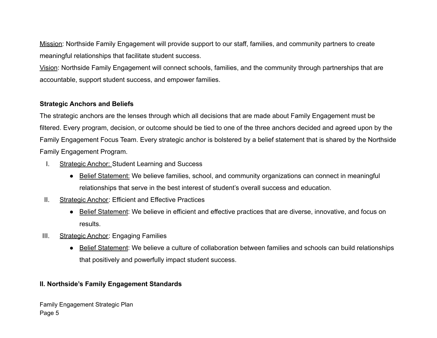Mission: Northside Family Engagement will provide support to our staff, families, and community partners to create meaningful relationships that facilitate student success.

Vision: Northside Family Engagement will connect schools, families, and the community through partnerships that are accountable, support student success, and empower families.

#### **Strategic Anchors and Beliefs**

The strategic anchors are the lenses through which all decisions that are made about Family Engagement must be filtered. Every program, decision, or outcome should be tied to one of the three anchors decided and agreed upon by the Family Engagement Focus Team. Every strategic anchor is bolstered by a belief statement that is shared by the Northside Family Engagement Program.

- I. Strategic Anchor: Student Learning and Success
	- Belief Statement: We believe families, school, and community organizations can connect in meaningful relationships that serve in the best interest of student's overall success and education.
- II. Strategic Anchor: Efficient and Effective Practices
	- Belief Statement: We believe in efficient and effective practices that are diverse, innovative, and focus on results.
- III. Strategic Anchor: Engaging Families
	- Belief Statement: We believe a culture of collaboration between families and schools can build relationships that positively and powerfully impact student success.

#### **II. Northside's Family Engagement Standards**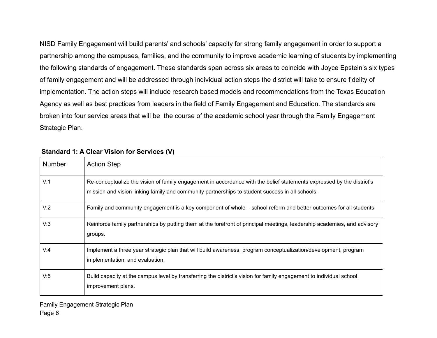NISD Family Engagement will build parents' and schools' capacity for strong family engagement in order to support a partnership among the campuses, families, and the community to improve academic learning of students by implementing the following standards of engagement. These standards span across six areas to coincide with Joyce Epstein's six types of family engagement and will be addressed through individual action steps the district will take to ensure fidelity of implementation. The action steps will include research based models and recommendations from the Texas Education Agency as well as best practices from leaders in the field of Family Engagement and Education. The standards are broken into four service areas that will be the course of the academic school year through the Family Engagement Strategic Plan.

| <b>Number</b> | <b>Action Step</b>                                                                                                                                                                                                       |
|---------------|--------------------------------------------------------------------------------------------------------------------------------------------------------------------------------------------------------------------------|
| V:1           | Re-conceptualize the vision of family engagement in accordance with the belief statements expressed by the district's<br>mission and vision linking family and community partnerships to student success in all schools. |
| V:2           | Family and community engagement is a key component of whole – school reform and better outcomes for all students.                                                                                                        |
| V:3           | Reinforce family partnerships by putting them at the forefront of principal meetings, leadership academies, and advisory<br>groups.                                                                                      |
| V:4           | Implement a three year strategic plan that will build awareness, program conceptualization/development, program<br>implementation, and evaluation.                                                                       |
| V.5           | Build capacity at the campus level by transferring the district's vision for family engagement to individual school<br>improvement plans.                                                                                |

#### **Standard 1: A Clear Vision for Services (V)**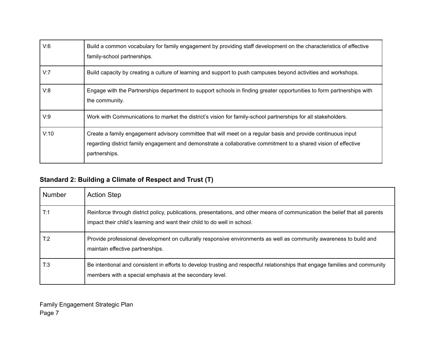| V:6  | Build a common vocabulary for family engagement by providing staff development on the characteristics of effective<br>family-school partnerships.                                                                                                |
|------|--------------------------------------------------------------------------------------------------------------------------------------------------------------------------------------------------------------------------------------------------|
| V:7  | Build capacity by creating a culture of learning and support to push campuses beyond activities and workshops.                                                                                                                                   |
| V:8  | Engage with the Partnerships department to support schools in finding greater opportunities to form partnerships with<br>the community.                                                                                                          |
| V.9  | Work with Communications to market the district's vision for family-school partnerships for all stakeholders.                                                                                                                                    |
| V:10 | Create a family engagement advisory committee that will meet on a regular basis and provide continuous input<br>regarding district family engagement and demonstrate a collaborative commitment to a shared vision of effective<br>partnerships. |

# **Standard 2: Building a Climate of Respect and Trust (T)**

| <b>Number</b> | <b>Action Step</b>                                                                                                                                                                                       |
|---------------|----------------------------------------------------------------------------------------------------------------------------------------------------------------------------------------------------------|
| T:1           | Reinforce through district policy, publications, presentations, and other means of communication the belief that all parents<br>impact their child's learning and want their child to do well in school. |
| T:2           | Provide professional development on culturally responsive environments as well as community awareness to build and<br>maintain effective partnerships.                                                   |
| T:3           | Be intentional and consistent in efforts to develop trusting and respectful relationships that engage families and community<br>members with a special emphasis at the secondary level.                  |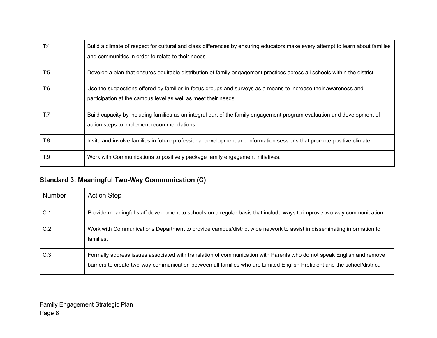| T:4 | Build a climate of respect for cultural and class differences by ensuring educators make every attempt to learn about families<br>and communities in order to relate to their needs. |
|-----|--------------------------------------------------------------------------------------------------------------------------------------------------------------------------------------|
| T.5 | Develop a plan that ensures equitable distribution of family engagement practices across all schools within the district.                                                            |
| T:6 | Use the suggestions offered by families in focus groups and surveys as a means to increase their awareness and<br>participation at the campus level as well as meet their needs.     |
| T:7 | Build capacity by including families as an integral part of the family engagement program evaluation and development of<br>action steps to implement recommendations.                |
| T:8 | Invite and involve families in future professional development and information sessions that promote positive climate.                                                               |
| T.9 | Work with Communications to positively package family engagement initiatives.                                                                                                        |

# **Standard 3: Meaningful Two-Way Communication (C)**

| <b>Number</b> | <b>Action Step</b>                                                                                                                                                                                                                                 |
|---------------|----------------------------------------------------------------------------------------------------------------------------------------------------------------------------------------------------------------------------------------------------|
| C:1           | Provide meaningful staff development to schools on a regular basis that include ways to improve two-way communication.                                                                                                                             |
| C:2           | Work with Communications Department to provide campus/district wide network to assist in disseminating information to<br>families.                                                                                                                 |
| C:3           | Formally address issues associated with translation of communication with Parents who do not speak English and remove<br>barriers to create two-way communication between all families who are Limited English Proficient and the school/district. |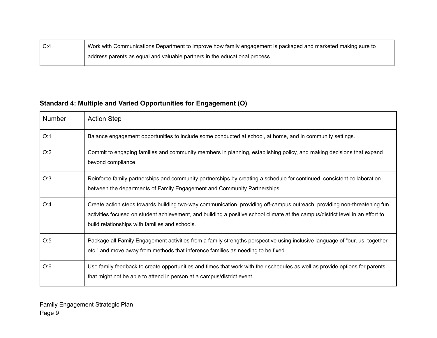| C:4 | Work with Communications Department to improve how family engagement is packaged and marketed making sure to |
|-----|--------------------------------------------------------------------------------------------------------------|
|     | d address parents as equal and valuable partners in the educational process.                                 |

# **Standard 4: Multiple and Varied Opportunities for Engagement (O)**

| <b>Number</b> | <b>Action Step</b>                                                                                                                                                                                                                                                                                           |
|---------------|--------------------------------------------------------------------------------------------------------------------------------------------------------------------------------------------------------------------------------------------------------------------------------------------------------------|
| O:1           | Balance engagement opportunities to include some conducted at school, at home, and in community settings.                                                                                                                                                                                                    |
| O:2           | Commit to engaging families and community members in planning, establishing policy, and making decisions that expand<br>beyond compliance.                                                                                                                                                                   |
| O:3           | Reinforce family partnerships and community partnerships by creating a schedule for continued, consistent collaboration<br>between the departments of Family Engagement and Community Partnerships.                                                                                                          |
| O:4           | Create action steps towards building two-way communication, providing off-campus outreach, providing non-threatening fun<br>activities focused on student achievement, and building a positive school climate at the campus/district level in an effort to<br>build relationships with families and schools. |
| O:5           | Package all Family Engagement activities from a family strengths perspective using inclusive language of "our, us, together,<br>etc." and move away from methods that inference families as needing to be fixed.                                                                                             |
| O:6           | Use family feedback to create opportunities and times that work with their schedules as well as provide options for parents<br>that might not be able to attend in person at a campus/district event.                                                                                                        |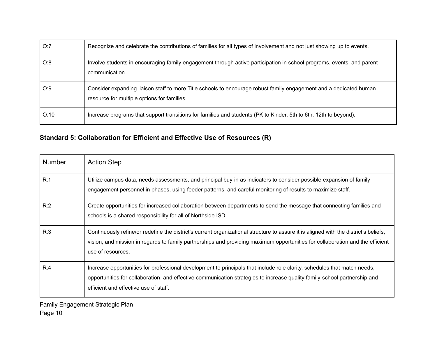| O:7  | Recognize and celebrate the contributions of families for all types of involvement and not just showing up to events.                                             |
|------|-------------------------------------------------------------------------------------------------------------------------------------------------------------------|
| O:8  | Involve students in encouraging family engagement through active participation in school programs, events, and parent<br>communication.                           |
| O:9  | Consider expanding liaison staff to more Title schools to encourage robust family engagement and a dedicated human<br>resource for multiple options for families. |
| O:10 | Increase programs that support transitions for families and students (PK to Kinder, 5th to 6th, 12th to beyond).                                                  |

### **Standard 5: Collaboration for Efficient and Effective Use of Resources (R)**

| <b>Number</b> | <b>Action Step</b>                                                                                                                                                                                                                                                                             |
|---------------|------------------------------------------------------------------------------------------------------------------------------------------------------------------------------------------------------------------------------------------------------------------------------------------------|
| R:1           | Utilize campus data, needs assessments, and principal buy-in as indicators to consider possible expansion of family<br>engagement personnel in phases, using feeder patterns, and careful monitoring of results to maximize staff.                                                             |
| R:2           | Create opportunities for increased collaboration between departments to send the message that connecting families and<br>schools is a shared responsibility for all of Northside ISD.                                                                                                          |
| R:3           | Continuously refine/or redefine the district's current organizational structure to assure it is aligned with the district's beliefs,<br>vision, and mission in regards to family partnerships and providing maximum opportunities for collaboration and the efficient<br>use of resources.     |
| R:4           | Increase opportunities for professional development to principals that include role clarity, schedules that match needs,<br>opportunities for collaboration, and effective communication strategies to increase quality family-school partnership and<br>efficient and effective use of staff. |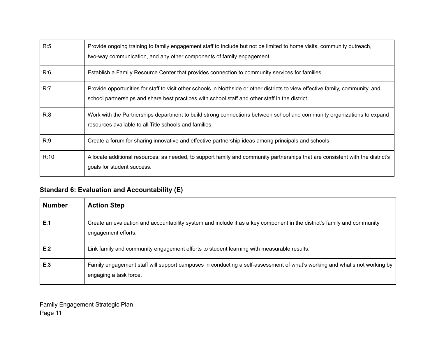| R:5  | Provide ongoing training to family engagement staff to include but not be limited to home visits, community outreach,<br>two-way communication, and any other components of family engagement.                                     |
|------|------------------------------------------------------------------------------------------------------------------------------------------------------------------------------------------------------------------------------------|
| R:6  | Establish a Family Resource Center that provides connection to community services for families.                                                                                                                                    |
| R:7  | Provide opportunities for staff to visit other schools in Northside or other districts to view effective family, community, and<br>school partnerships and share best practices with school staff and other staff in the district. |
| R:8  | Work with the Partnerships department to build strong connections between school and community organizations to expand<br>resources available to all Title schools and families.                                                   |
| R:9  | Create a forum for sharing innovative and effective partnership ideas among principals and schools.                                                                                                                                |
| R:10 | Allocate additional resources, as needed, to support family and community partnerships that are consistent with the district's<br>goals for student success.                                                                       |

## **Standard 6: Evaluation and Accountability (E)**

| <b>Number</b> | <b>Action Step</b>                                                                                                                                  |
|---------------|-----------------------------------------------------------------------------------------------------------------------------------------------------|
| E.1           | Create an evaluation and accountability system and include it as a key component in the district's family and community<br>engagement efforts.      |
| E.2           | Link family and community engagement efforts to student learning with measurable results.                                                           |
| E.3           | Family engagement staff will support campuses in conducting a self-assessment of what's working and what's not working by<br>engaging a task force. |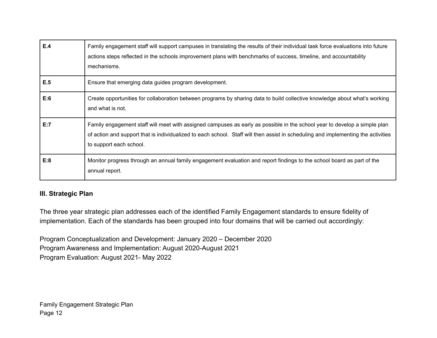| E.4 | Family engagement staff will support campuses in translating the results of their individual task force evaluations into future<br>actions steps reflected in the schools improvement plans with benchmarks of success, timeline, and accountability<br>mechanisms.                       |
|-----|-------------------------------------------------------------------------------------------------------------------------------------------------------------------------------------------------------------------------------------------------------------------------------------------|
| E.5 | Ensure that emerging data guides program development.                                                                                                                                                                                                                                     |
| E:6 | Create opportunities for collaboration between programs by sharing data to build collective knowledge about what's working<br>and what is not.                                                                                                                                            |
| E:7 | Family engagement staff will meet with assigned campuses as early as possible in the school year to develop a simple plan<br>of action and support that is individualized to each school. Staff will then assist in scheduling and implementing the activities<br>to support each school. |
| E:8 | Monitor progress through an annual family engagement evaluation and report findings to the school board as part of the<br>annual report.                                                                                                                                                  |

#### **III. Strategic Plan**

The three year strategic plan addresses each of the identified Family Engagement standards to ensure fidelity of implementation. Each of the standards has been grouped into four domains that will be carried out accordingly:

Program Conceptualization and Development: January 2020 – December 2020 Program Awareness and Implementation: August 2020-August 2021 Program Evaluation: August 2021- May 2022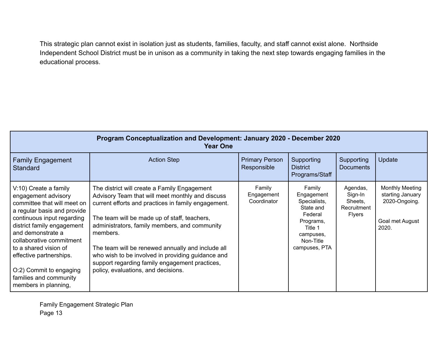This strategic plan cannot exist in isolation just as students, families, faculty, and staff cannot exist alone. Northside Independent School District must be in unison as a community in taking the next step towards engaging families in the educational process.

| Program Conceptualization and Development: January 2020 - December 2020<br><b>Year One</b>                                                                                                                                                                                                                                                               |                                                                                                                                                                                                                                                                                                                                                                                                                                                                         |                                      |                                                                                                                                 |                                                                |                                                                                         |  |  |
|----------------------------------------------------------------------------------------------------------------------------------------------------------------------------------------------------------------------------------------------------------------------------------------------------------------------------------------------------------|-------------------------------------------------------------------------------------------------------------------------------------------------------------------------------------------------------------------------------------------------------------------------------------------------------------------------------------------------------------------------------------------------------------------------------------------------------------------------|--------------------------------------|---------------------------------------------------------------------------------------------------------------------------------|----------------------------------------------------------------|-----------------------------------------------------------------------------------------|--|--|
| <b>Family Engagement</b><br><b>Standard</b>                                                                                                                                                                                                                                                                                                              | <b>Action Step</b>                                                                                                                                                                                                                                                                                                                                                                                                                                                      | <b>Primary Person</b><br>Responsible | Supporting<br><b>District</b><br>Programs/Staff                                                                                 | Supporting<br><b>Documents</b>                                 | Update                                                                                  |  |  |
| V:10) Create a family<br>engagement advisory<br>committee that will meet on<br>a regular basis and provide<br>continuous input regarding<br>district family engagement<br>and demonstrate a<br>collaborative commitment<br>to a shared vision of<br>effective partnerships.<br>O:2) Commit to engaging<br>families and community<br>members in planning, | The district will create a Family Engagement<br>Advisory Team that will meet monthly and discuss<br>current efforts and practices in family engagement.<br>The team will be made up of staff, teachers,<br>administrators, family members, and community<br>members.<br>The team will be renewed annually and include all<br>who wish to be involved in providing guidance and<br>support regarding family engagement practices,<br>policy, evaluations, and decisions. | Family<br>Engagement<br>Coordinator  | Family<br>Engagement<br>Specialists,<br>State and<br>Federal<br>Programs,<br>Title 1<br>campuses,<br>Non-Title<br>campuses, PTA | Agendas,<br>Sign-In<br>Sheets,<br>Recruitment<br><b>Flyers</b> | <b>Monthly Meeting</b><br>starting January<br>2020-Ongoing.<br>Goal met August<br>2020. |  |  |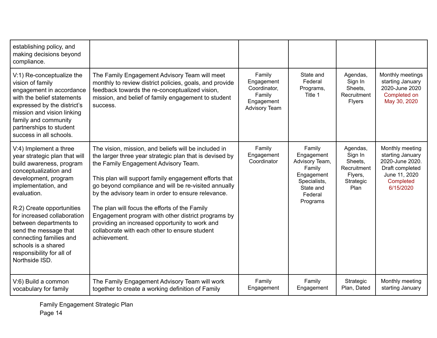| establishing policy, and<br>making decisions beyond<br>compliance.                                                                                                                                                                                                                                                                                                                         |                                                                                                                                                                                                                                                                                                                                                                                                                                                                                                                                                          |                                                                                      |                                                                                                                    |                                                                               |                                                                                                                      |
|--------------------------------------------------------------------------------------------------------------------------------------------------------------------------------------------------------------------------------------------------------------------------------------------------------------------------------------------------------------------------------------------|----------------------------------------------------------------------------------------------------------------------------------------------------------------------------------------------------------------------------------------------------------------------------------------------------------------------------------------------------------------------------------------------------------------------------------------------------------------------------------------------------------------------------------------------------------|--------------------------------------------------------------------------------------|--------------------------------------------------------------------------------------------------------------------|-------------------------------------------------------------------------------|----------------------------------------------------------------------------------------------------------------------|
| V:1) Re-conceptualize the<br>vision of family<br>engagement in accordance<br>with the belief statements<br>expressed by the district's<br>mission and vision linking<br>family and community<br>partnerships to student<br>success in all schools.                                                                                                                                         | The Family Engagement Advisory Team will meet<br>monthly to review district policies, goals, and provide<br>feedback towards the re-conceptualized vision,<br>mission, and belief of family engagement to student<br>success.                                                                                                                                                                                                                                                                                                                            | Family<br>Engagement<br>Coordinator,<br>Family<br>Engagement<br><b>Advisory Team</b> | State and<br>Federal<br>Programs,<br>Title 1                                                                       | Agendas,<br>Sign In<br>Sheets.<br>Recruitment<br><b>Flyers</b>                | Monthly meetings<br>starting January<br>2020-June 2020<br>Completed on<br>May 30, 2020                               |
| V:4) Implement a three<br>year strategic plan that will<br>build awareness, program<br>conceptualization and<br>development, program<br>implementation, and<br>evaluation.<br>R:2) Create opportunities<br>for increased collaboration<br>between departments to<br>send the message that<br>connecting families and<br>schools is a shared<br>responsibility for all of<br>Northside ISD. | The vision, mission, and beliefs will be included in<br>the larger three year strategic plan that is devised by<br>the Family Engagement Advisory Team.<br>This plan will support family engagement efforts that<br>go beyond compliance and will be re-visited annually<br>by the advisory team in order to ensure relevance.<br>The plan will focus the efforts of the Family<br>Engagement program with other district programs by<br>providing an increased opportunity to work and<br>collaborate with each other to ensure student<br>achievement. | Family<br>Engagement<br>Coordinator                                                  | Family<br>Engagement<br>Advisory Team,<br>Family<br>Engagement<br>Specialists,<br>State and<br>Federal<br>Programs | Agendas,<br>Sign In<br>Sheets,<br>Recruitment<br>Flyers,<br>Strategic<br>Plan | Monthly meeting<br>starting January<br>2020-June 2020.<br>Draft completed<br>June 11, 2020<br>Completed<br>6/15/2020 |
| V:6) Build a common<br>vocabulary for family                                                                                                                                                                                                                                                                                                                                               | The Family Engagement Advisory Team will work<br>together to create a working definition of Family                                                                                                                                                                                                                                                                                                                                                                                                                                                       | Family<br>Engagement                                                                 | Family<br>Engagement                                                                                               | Strategic<br>Plan, Dated                                                      | Monthly meeting<br>starting January                                                                                  |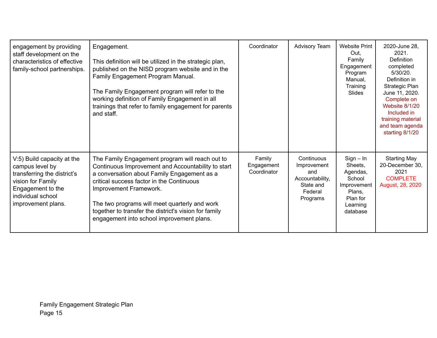| engagement by providing<br>staff development on the<br>characteristics of effective<br>family-school partnerships.                                                | Engagement.<br>This definition will be utilized in the strategic plan,<br>published on the NISD program website and in the<br>Family Engagement Program Manual.<br>The Family Engagement program will refer to the<br>working definition of Family Engagement in all<br>trainings that refer to family engagement for parents<br>and staff.                                        | Coordinator                         | Advisory Team                                                                           | <b>Website Print</b><br>Out.<br>Family<br>Engagement<br>Program<br>Manual,<br>Training<br>Slides          | 2020-June 28,<br>2021.<br><b>Definition</b><br>completed<br>$5/30/20$ .<br>Definition in<br>Strategic Plan<br>June 11, 2020.<br>Complete on<br>Website 8/1/20<br>Included in<br>training material<br>and team agenda<br>starting 8/1/20 |
|-------------------------------------------------------------------------------------------------------------------------------------------------------------------|------------------------------------------------------------------------------------------------------------------------------------------------------------------------------------------------------------------------------------------------------------------------------------------------------------------------------------------------------------------------------------|-------------------------------------|-----------------------------------------------------------------------------------------|-----------------------------------------------------------------------------------------------------------|-----------------------------------------------------------------------------------------------------------------------------------------------------------------------------------------------------------------------------------------|
| V:5) Build capacity at the<br>campus level by<br>transferring the district's<br>vision for Family<br>Engagement to the<br>individual school<br>improvement plans. | The Family Engagement program will reach out to<br>Continuous Improvement and Accountability to start<br>a conversation about Family Engagement as a<br>critical success factor in the Continuous<br>Improvement Framework.<br>The two programs will meet quarterly and work<br>together to transfer the district's vision for family<br>engagement into school improvement plans. | Family<br>Engagement<br>Coordinator | Continuous<br>Improvement<br>and<br>Accountability,<br>State and<br>Federal<br>Programs | $Sign - In$<br>Sheets,<br>Agendas,<br>School<br>Improvement<br>Plans,<br>Plan for<br>Learning<br>database | <b>Starting May</b><br>20-December 30,<br>2021<br><b>COMPLETE</b><br>August, 28, 2020                                                                                                                                                   |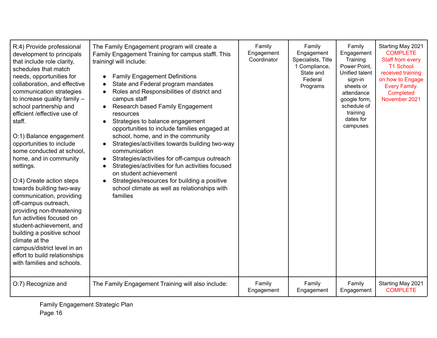| R:4) Provide professional<br>development to principals<br>that include role clarity,<br>schedules that match<br>needs, opportunities for<br>collaboration, and effective<br>communication strategies<br>to increase quality family $-$<br>school partnership and<br>efficient /effective use of<br>staff.<br>O:1) Balance engagement<br>opportunities to include<br>some conducted at school,<br>home, and in community<br>settings.<br>O:4) Create action steps<br>towards building two-way<br>communication, providing<br>off-campus outreach,<br>providing non-threatening<br>fun activities focused on<br>student-achievement, and<br>building a positive school<br>climate at the<br>campus/district level in an<br>effort to build relationships<br>with families and schools. | The Family Engagement program will create a<br>Family Engagement Training for campus staffl. This<br>trainingl will include:<br><b>Family Engagement Definitions</b><br>$\bullet$<br>State and Federal program mandates<br>$\bullet$<br>Roles and Responsibilities of district and<br>$\bullet$<br>campus staff<br>Research based Family Engagement<br>$\bullet$<br>resources<br>Strategies to balance engagement<br>$\bullet$<br>opportunities to include families engaged at<br>school, home, and in the community<br>Strategies/activities towards building two-way<br>communication<br>Strategies/activities for off-campus outreach<br>$\bullet$<br>Strategies/activities for fun activities focused<br>on student achievement<br>Strategies/resources for building a positive<br>school climate as well as relationships with<br>families | Family<br>Engagement<br>Coordinator | Family<br>Engagement<br>Specialists, Title<br>1 Compliance,<br>State and<br>Federal<br>Programs | Family<br>Engagement<br>Training<br>Power Point,<br>Unified talent<br>sign-in<br>sheets or<br>attendance<br>google form,<br>schedule of<br>training<br>dates for<br>campuses | Starting May 2021<br><b>COMPLETE</b><br>Staff from every<br>T1 School<br>received training<br>on how to Engage<br>Every Family.<br>Completed<br>November 2021 |
|--------------------------------------------------------------------------------------------------------------------------------------------------------------------------------------------------------------------------------------------------------------------------------------------------------------------------------------------------------------------------------------------------------------------------------------------------------------------------------------------------------------------------------------------------------------------------------------------------------------------------------------------------------------------------------------------------------------------------------------------------------------------------------------|-------------------------------------------------------------------------------------------------------------------------------------------------------------------------------------------------------------------------------------------------------------------------------------------------------------------------------------------------------------------------------------------------------------------------------------------------------------------------------------------------------------------------------------------------------------------------------------------------------------------------------------------------------------------------------------------------------------------------------------------------------------------------------------------------------------------------------------------------|-------------------------------------|-------------------------------------------------------------------------------------------------|------------------------------------------------------------------------------------------------------------------------------------------------------------------------------|---------------------------------------------------------------------------------------------------------------------------------------------------------------|
| O:7) Recognize and                                                                                                                                                                                                                                                                                                                                                                                                                                                                                                                                                                                                                                                                                                                                                                   | The Family Engagement Training will also include:                                                                                                                                                                                                                                                                                                                                                                                                                                                                                                                                                                                                                                                                                                                                                                                               | Family<br>Engagement                | Family<br>Engagement                                                                            | Family<br>Engagement                                                                                                                                                         | Starting May 2021<br><b>COMPLETE</b>                                                                                                                          |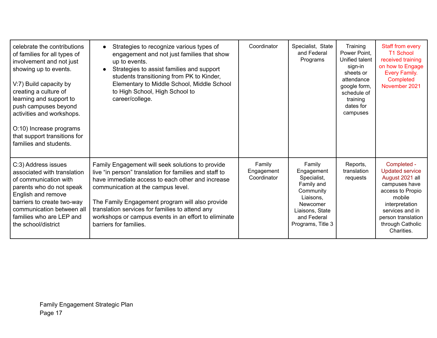| celebrate the contributions<br>of families for all types of<br>involvement and not just<br>showing up to events.<br>V:7) Build capacity by<br>creating a culture of<br>learning and support to<br>push campuses beyond<br>activities and workshops.<br>O:10) Increase programs<br>that support transitions for<br>families and students. | Strategies to recognize various types of<br>engagement and not just families that show<br>up to events.<br>Strategies to assist families and support<br>students transitioning from PK to Kinder,<br>Elementary to Middle School, Middle School<br>to High School, High School to<br>career/college.                                                                                         | Coordinator                         | Specialist, State<br>and Federal<br>Programs                                                                                                   | Training<br>Power Point,<br>Unified talent<br>sign-in<br>sheets or<br>attendance<br>google form,<br>schedule of<br>training<br>dates for<br>campuses | Staff from every<br><b>T1 School</b><br>received training<br>on how to Engage<br>Every Family.<br>Completed<br>November 2021                                                                         |
|------------------------------------------------------------------------------------------------------------------------------------------------------------------------------------------------------------------------------------------------------------------------------------------------------------------------------------------|----------------------------------------------------------------------------------------------------------------------------------------------------------------------------------------------------------------------------------------------------------------------------------------------------------------------------------------------------------------------------------------------|-------------------------------------|------------------------------------------------------------------------------------------------------------------------------------------------|------------------------------------------------------------------------------------------------------------------------------------------------------|------------------------------------------------------------------------------------------------------------------------------------------------------------------------------------------------------|
| C:3) Address issues<br>associated with translation<br>of communication with<br>parents who do not speak<br>English and remove<br>barriers to create two-way<br>communication between all<br>families who are LEP and<br>the school/district                                                                                              | Family Engagement will seek solutions to provide<br>live "in person" translation for families and staff to<br>have immediate access to each other and increase<br>communication at the campus level.<br>The Family Engagement program will also provide<br>translation services for families to attend any<br>workshops or campus events in an effort to eliminate<br>barriers for families. | Family<br>Engagement<br>Coordinator | Family<br>Engagement<br>Specialist,<br>Family and<br>Community<br>Liaisons,<br>Newcomer<br>Liaisons, State<br>and Federal<br>Programs, Title 3 | Reports,<br>translation<br>requests                                                                                                                  | Completed -<br><b>Updated service</b><br>August 2021 all<br>campuses have<br>access to Propio<br>mobile<br>interpretation<br>services and in<br>person translation<br>through Catholic<br>Charities. |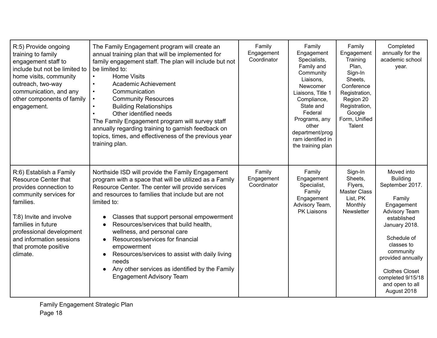| R:5) Provide ongoing<br>training to family<br>engagement staff to<br>include but not be limited to<br>home visits, community<br>outreach, two-way<br>communication, and any<br>other components of family<br>engagement.                                              | The Family Engagement program will create an<br>annual training plan that will be implemented for<br>family engagement staff. The plan will include but not<br>be limited to:<br><b>Home Visits</b><br>$\bullet$<br>Academic Achievement<br>$\bullet$<br>Communication<br>$\bullet$<br><b>Community Resources</b><br>$\bullet$<br><b>Building Relationships</b><br>Other identified needs<br>The Family Engagement program will survey staff<br>annually regarding training to garnish feedback on<br>topics, times, and effectiveness of the previous year<br>training plan.          | Family<br>Engagement<br>Coordinator | Family<br>Engagement<br>Specialists,<br>Family and<br>Community<br>Liaisons,<br>Newcomer<br>Liaisons, Title 1<br>Compliance,<br>State and<br>Federal<br>Programs, any<br>other<br>department/prog<br>ram identified in<br>the training plan | Family<br>Engagement<br>Training<br>Plan,<br>Sign-In<br>Sheets,<br>Conference<br>Registration,<br>Region 20<br>Registration,<br>Google<br>Form, Unified<br><b>Talent</b> | Completed<br>annually for the<br>academic school<br>year.                                                                                                                                                                                                                       |
|-----------------------------------------------------------------------------------------------------------------------------------------------------------------------------------------------------------------------------------------------------------------------|----------------------------------------------------------------------------------------------------------------------------------------------------------------------------------------------------------------------------------------------------------------------------------------------------------------------------------------------------------------------------------------------------------------------------------------------------------------------------------------------------------------------------------------------------------------------------------------|-------------------------------------|---------------------------------------------------------------------------------------------------------------------------------------------------------------------------------------------------------------------------------------------|--------------------------------------------------------------------------------------------------------------------------------------------------------------------------|---------------------------------------------------------------------------------------------------------------------------------------------------------------------------------------------------------------------------------------------------------------------------------|
| R:6) Establish a Family<br><b>Resource Center that</b><br>provides connection to<br>community services for<br>families.<br>T:8) Invite and involve<br>families in future<br>professional development<br>and information sessions<br>that promote positive<br>climate. | Northside ISD will provide the Family Engagement<br>program with a space that will be utilized as a Family<br>Resource Center. The center will provide services<br>and resources to families that include but are not<br>limited to:<br>Classes that support personal empowerment<br>Resources/services that build health,<br>wellness, and personal care<br>Resources/services for financial<br>$\bullet$<br>empowerment<br>Resources/services to assist with daily living<br>needs<br>Any other services as identified by the Family<br>$\bullet$<br><b>Engagement Advisory Team</b> | Family<br>Engagement<br>Coordinator | Family<br>Engagement<br>Specialist,<br>Family<br>Engagement<br>Advisory Team,<br>PK Liaisons                                                                                                                                                | Sign-In<br>Sheets,<br>Flyers,<br><b>Master Class</b><br>List, PK<br>Monthly<br>Newsletter                                                                                | Moved into<br><b>Building</b><br>September 2017.<br>Family<br>Engagement<br><b>Advisory Team</b><br>established<br>January 2018.<br>Schedule of<br>classes to<br>community<br>provided annually<br><b>Clothes Closet</b><br>completed 9/15/18<br>and open to all<br>August 2018 |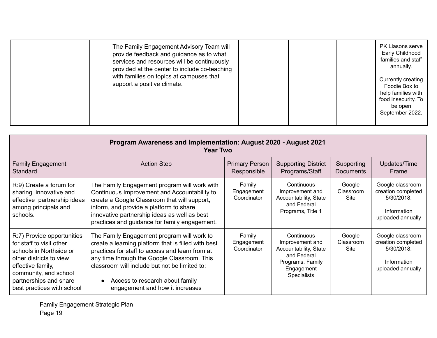|  | The Family Engagement Advisory Team will<br>provide feedback and guidance as to what<br>services and resources will be continuously<br>provided at the center to include co-teaching<br>with families on topics at campuses that<br>support a positive climate. |  |  | PK Liasons serve<br>Early Childhood<br>families and staff<br>annually.<br>Currently creating<br>Foodie Box to<br>help families with<br>food insecurity. To<br>be open<br>September 2022. |
|--|-----------------------------------------------------------------------------------------------------------------------------------------------------------------------------------------------------------------------------------------------------------------|--|--|------------------------------------------------------------------------------------------------------------------------------------------------------------------------------------------|
|--|-----------------------------------------------------------------------------------------------------------------------------------------------------------------------------------------------------------------------------------------------------------------|--|--|------------------------------------------------------------------------------------------------------------------------------------------------------------------------------------------|

| Program Awareness and Implementation: August 2020 - August 2021<br><b>Year Two</b>                                                                                                                                 |                                                                                                                                                                                                                                                                                                                                         |                                      |                                                                                                                               |                                    |                                                                                          |  |  |
|--------------------------------------------------------------------------------------------------------------------------------------------------------------------------------------------------------------------|-----------------------------------------------------------------------------------------------------------------------------------------------------------------------------------------------------------------------------------------------------------------------------------------------------------------------------------------|--------------------------------------|-------------------------------------------------------------------------------------------------------------------------------|------------------------------------|------------------------------------------------------------------------------------------|--|--|
| <b>Family Engagement</b><br>Standard                                                                                                                                                                               | <b>Action Step</b>                                                                                                                                                                                                                                                                                                                      | <b>Primary Person</b><br>Responsible | <b>Supporting District</b><br>Programs/Staff                                                                                  | Supporting<br><b>Documents</b>     | Updates/Time<br>Frame                                                                    |  |  |
| R:9) Create a forum for<br>sharing innovative and<br>effective partnership ideas<br>among principals and<br>schools.                                                                                               | The Family Engagement program will work with<br>Continuous Improvement and Accountability to<br>create a Google Classroom that will support,<br>inform, and provide a platform to share<br>innovative partnership ideas as well as best<br>practices and guidance for family engagement.                                                | Family<br>Engagement<br>Coordinator  | Continuous<br>Improvement and<br>Accountability, State<br>and Federal<br>Programs, Title 1                                    | Google<br>Classroom<br><b>Site</b> | Google classroom<br>creation completed<br>5/30/2018.<br>Information<br>uploaded annually |  |  |
| R:7) Provide opportunities<br>for staff to visit other<br>schools in Northside or<br>other districts to view<br>effective family,<br>community, and school<br>partnerships and share<br>best practices with school | The Family Engagement program will work to<br>create a learning platform that is filled with best<br>practices for staff to access and learn from at<br>any time through the Google Classroom. This<br>classroom will include but not be limited to:<br>Access to research about family<br>$\bullet$<br>engagement and how it increases | Family<br>Engagement<br>Coordinator  | Continuous<br>Improvement and<br>Accountability, State<br>and Federal<br>Programs, Family<br>Engagement<br><b>Specialists</b> | Google<br>Classroom<br><b>Site</b> | Google classroom<br>creation completed<br>5/30/2018.<br>Information<br>uploaded annually |  |  |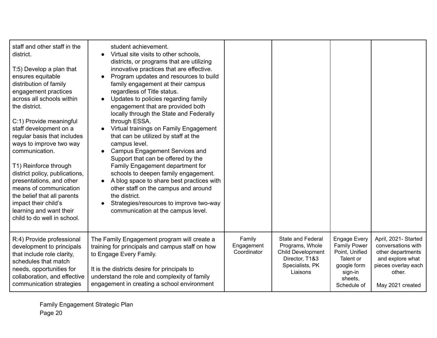| staff and other staff in the<br>district.<br>T:5) Develop a plan that<br>ensures equitable<br>distribution of family<br>engagement practices<br>across all schools within<br>the district.<br>C:1) Provide meaningful<br>staff development on a<br>regular basis that includes<br>ways to improve two way<br>communication.<br>T1) Reinforce through<br>district policy, publications,<br>presentations, and other<br>means of communication<br>the belief that all parents<br>impact their child's<br>learning and want their<br>child to do well in school. | student achievement.<br>Virtual site visits to other schools,<br>$\bullet$<br>districts, or programs that are utilizing<br>innovative practices that are effective.<br>Program updates and resources to build<br>family engagement at their campus<br>regardless of Title status.<br>Updates to policies regarding family<br>$\bullet$<br>engagement that are provided both<br>locally through the State and Federally<br>through ESSA.<br>Virtual trainings on Family Engagement<br>that can be utilized by staff at the<br>campus level.<br><b>Campus Engagement Services and</b><br>Support that can be offered by the<br>Family Engagement department for<br>schools to deepen family engagement.<br>A blog space to share best practices with<br>other staff on the campus and around<br>the district.<br>Strategies/resources to improve two-way<br>communication at the campus level. |                                     |                                                                                                                          |                                                                                                                        |                                                                                                                                          |
|---------------------------------------------------------------------------------------------------------------------------------------------------------------------------------------------------------------------------------------------------------------------------------------------------------------------------------------------------------------------------------------------------------------------------------------------------------------------------------------------------------------------------------------------------------------|----------------------------------------------------------------------------------------------------------------------------------------------------------------------------------------------------------------------------------------------------------------------------------------------------------------------------------------------------------------------------------------------------------------------------------------------------------------------------------------------------------------------------------------------------------------------------------------------------------------------------------------------------------------------------------------------------------------------------------------------------------------------------------------------------------------------------------------------------------------------------------------------|-------------------------------------|--------------------------------------------------------------------------------------------------------------------------|------------------------------------------------------------------------------------------------------------------------|------------------------------------------------------------------------------------------------------------------------------------------|
| R:4) Provide professional<br>development to principals<br>that include role clarity,<br>schedules that match<br>needs, opportunities for<br>collaboration, and effective<br>communication strategies                                                                                                                                                                                                                                                                                                                                                          | The Family Engagement program will create a<br>training for principals and campus staff on how<br>to Engage Every Family.<br>It is the districts desire for principals to<br>understand the role and complexity of family<br>engagement in creating a school environment                                                                                                                                                                                                                                                                                                                                                                                                                                                                                                                                                                                                                     | Family<br>Engagement<br>Coordinator | <b>State and Federal</b><br>Programs, Whole<br><b>Child Development</b><br>Director, T1&3<br>Specialists, PK<br>Liaisons | Engage Every<br><b>Family Power</b><br>Point, Unified<br>Talent or<br>google form<br>sign-in<br>sheets,<br>Schedule of | April, 2021- Started<br>conversations with<br>other departments<br>and explore what<br>pieces overlay each<br>other.<br>May 2021 created |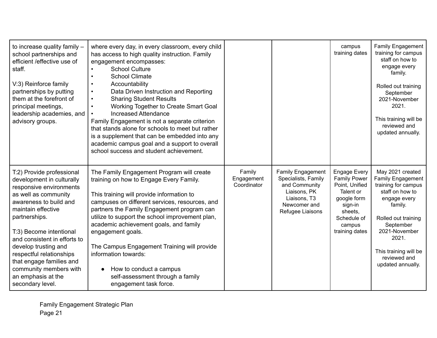| to increase quality family -<br>school partnerships and<br>efficient / effective use of<br>staff.<br>V:3) Reinforce family<br>partnerships by putting<br>them at the forefront of<br>principal meetings,<br>leadership academies, and<br>advisory groups.                                                                                                                                 | where every day, in every classroom, every child<br>has access to high quality instruction. Family<br>engagement encompasses:<br><b>School Culture</b><br>$\bullet$<br><b>School Climate</b><br>Accountability<br>$\bullet$<br>Data Driven Instruction and Reporting<br>$\bullet$<br><b>Sharing Student Results</b><br>$\bullet$<br>Working Together to Create Smart Goal<br>$\bullet$<br><b>Increased Attendance</b><br>Family Engagement is not a separate criterion<br>that stands alone for schools to meet but rather<br>is a supplement that can be embedded into any<br>academic campus goal and a support to overall<br>school success and student achievement. |                                     |                                                                                                                               | campus<br>training dates                                                                                                                                  | Family Engagement<br>training for campus<br>staff on how to<br>engage every<br>family.<br>Rolled out training<br>September<br>2021-November<br>2021.<br>This training will be<br>reviewed and<br>updated annually.                            |
|-------------------------------------------------------------------------------------------------------------------------------------------------------------------------------------------------------------------------------------------------------------------------------------------------------------------------------------------------------------------------------------------|-------------------------------------------------------------------------------------------------------------------------------------------------------------------------------------------------------------------------------------------------------------------------------------------------------------------------------------------------------------------------------------------------------------------------------------------------------------------------------------------------------------------------------------------------------------------------------------------------------------------------------------------------------------------------|-------------------------------------|-------------------------------------------------------------------------------------------------------------------------------|-----------------------------------------------------------------------------------------------------------------------------------------------------------|-----------------------------------------------------------------------------------------------------------------------------------------------------------------------------------------------------------------------------------------------|
| T:2) Provide professional<br>development in culturally<br>responsive environments<br>as well as community<br>awareness to build and<br>maintain effective<br>partnerships.<br>T:3) Become intentional<br>and consistent in efforts to<br>develop trusting and<br>respectful relationships<br>that engage families and<br>community members with<br>an emphasis at the<br>secondary level. | The Family Engagement Program will create<br>training on how to Engage Every Family.<br>This training will provide information to<br>campuses on different services, resources, and<br>partners the Family Engagement program can<br>utilize to support the school improvement plan,<br>academic achievement goals, and family<br>engagement goals.<br>The Campus Engagement Training will provide<br>information towards:<br>How to conduct a campus<br>$\bullet$<br>self-assessment through a family<br>engagement task force.                                                                                                                                        | Family<br>Engagement<br>Coordinator | Family Engagement<br>Specialists, Family<br>and Community<br>Liaisons, PK<br>Liaisons, T3<br>Newcomer and<br>Refugee Liaisons | <b>Engage Every</b><br><b>Family Power</b><br>Point, Unified<br>Talent or<br>google form<br>sign-in<br>sheets,<br>Schedule of<br>campus<br>training dates | May 2021 created<br><b>Family Engagement</b><br>training for campus<br>staff on how to<br>engage every<br>family.<br>Rolled out training<br>September<br>2021-November<br>2021.<br>This training will be<br>reviewed and<br>updated annually. |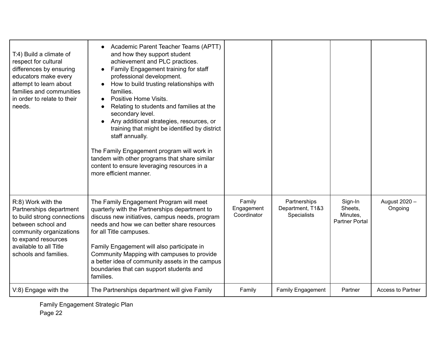| T:4) Build a climate of<br>respect for cultural<br>differences by ensuring<br>educators make every<br>attempt to learn about<br>families and communities<br>in order to relate to their<br>needs.       | Academic Parent Teacher Teams (APTT)<br>$\bullet$<br>and how they support student<br>achievement and PLC practices.<br>Family Engagement training for staff<br>$\bullet$<br>professional development.<br>How to build trusting relationships with<br>families.<br>Positive Home Visits.<br>Relating to students and families at the<br>secondary level.<br>Any additional strategies, resources, or<br>$\bullet$<br>training that might be identified by district<br>staff annually.<br>The Family Engagement program will work in<br>tandem with other programs that share similar<br>content to ensure leveraging resources in a<br>more efficient manner. |                                     |                                                        |                                                         |                          |
|---------------------------------------------------------------------------------------------------------------------------------------------------------------------------------------------------------|--------------------------------------------------------------------------------------------------------------------------------------------------------------------------------------------------------------------------------------------------------------------------------------------------------------------------------------------------------------------------------------------------------------------------------------------------------------------------------------------------------------------------------------------------------------------------------------------------------------------------------------------------------------|-------------------------------------|--------------------------------------------------------|---------------------------------------------------------|--------------------------|
| R:8) Work with the<br>Partnerships department<br>to build strong connections<br>between school and<br>community organizations<br>to expand resources<br>available to all Title<br>schools and families. | The Family Engagement Program will meet<br>quarterly with the Partnerships department to<br>discuss new initiatives, campus needs, program<br>needs and how we can better share resources<br>for all Title campuses.<br>Family Engagement will also participate in<br>Community Mapping with campuses to provide<br>a better idea of community assets in the campus<br>boundaries that can support students and<br>families.                                                                                                                                                                                                                                 | Family<br>Engagement<br>Coordinator | Partnerships<br>Department, T1&3<br><b>Specialists</b> | Sign-In<br>Sheets,<br>Minutes,<br><b>Partner Portal</b> | August 2020 -<br>Ongoing |
| V:8) Engage with the                                                                                                                                                                                    | The Partnerships department will give Family                                                                                                                                                                                                                                                                                                                                                                                                                                                                                                                                                                                                                 | Family                              | <b>Family Engagement</b>                               | Partner                                                 | <b>Access to Partner</b> |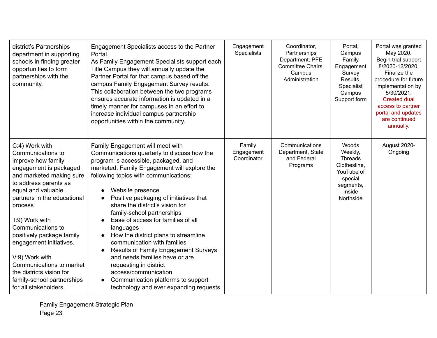| district's Partnerships<br>department in supporting<br>schools in finding greater<br>opportunities to form<br>partnerships with the<br>community.                                                                                                                                                                                                                                                                                        | Engagement Specialists access to the Partner<br>Portal.<br>As Family Engagement Specialists support each<br>Title Campus they will annually update the<br>Partner Portal for that campus based off the<br>campus Family Engagement Survey results.<br>This collaboration between the two programs<br>ensures accurate information is updated in a<br>timely manner for campuses in an effort to<br>increase individual campus partnership<br>opportunities within the community.                                                                                                                                                                                                                                                                 | Engagement<br><b>Specialists</b>    | Coordinator,<br>Partnerships<br>Department, PFE<br>Committee Chairs,<br>Campus<br>Administration | Portal,<br>Campus<br>Family<br>Engagement<br>Survey<br>Results,<br>Specialist<br>Campus<br>Support form         | Portal was granted<br>May 2020.<br>Begin trial support<br>8/2020-12/2020.<br>Finalize the<br>procedure for future<br>implementation by<br>5/30/2021.<br><b>Created dual</b><br>access to partner<br>portal and updates<br>are continued<br>annually. |
|------------------------------------------------------------------------------------------------------------------------------------------------------------------------------------------------------------------------------------------------------------------------------------------------------------------------------------------------------------------------------------------------------------------------------------------|--------------------------------------------------------------------------------------------------------------------------------------------------------------------------------------------------------------------------------------------------------------------------------------------------------------------------------------------------------------------------------------------------------------------------------------------------------------------------------------------------------------------------------------------------------------------------------------------------------------------------------------------------------------------------------------------------------------------------------------------------|-------------------------------------|--------------------------------------------------------------------------------------------------|-----------------------------------------------------------------------------------------------------------------|------------------------------------------------------------------------------------------------------------------------------------------------------------------------------------------------------------------------------------------------------|
| C:4) Work with<br>Communications to<br>improve how family<br>engagement is packaged<br>and marketed making sure<br>to address parents as<br>equal and valuable<br>partners in the educational<br>process<br>T:9) Work with<br>Communications to<br>positively package family<br>engagement initiatives.<br>V:9) Work with<br>Communications to market<br>the districts vision for<br>family-school partnerships<br>for all stakeholders. | Family Engagement will meet with<br>Communications quarterly to discuss how the<br>program is accessible, packaged, and<br>marketed. Family Engagement will explore the<br>following topics with communications:<br>Website presence<br>$\bullet$<br>Positive packaging of initiatives that<br>$\bullet$<br>share the district's vision for<br>family-school partnerships<br>Ease of access for families of all<br>languages<br>How the district plans to streamline<br>$\bullet$<br>communication with families<br><b>Results of Family Engagement Surveys</b><br>and needs families have or are<br>requesting in district<br>access/communication<br>Communication platforms to support<br>$\bullet$<br>technology and ever expanding requests | Family<br>Engagement<br>Coordinator | Communications<br>Department, State<br>and Federal<br>Programs                                   | Woods<br>Weekly,<br><b>Threads</b><br>Clothesline,<br>YouTube of<br>special<br>segments,<br>Inside<br>Northside | August 2020-<br>Ongoing                                                                                                                                                                                                                              |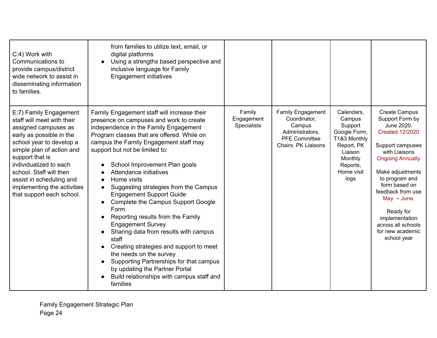| C:4) Work with<br>Communications to<br>provide campus/district<br>wide network to assist in<br>disseminating information<br>to families.                                                                                                                                                                                          | from families to utilize text, email, or<br>digital platforms<br>Using a strengths based perspective and<br>$\bullet$<br>inclusive language for Family<br><b>Engagement initiatives</b>                                                                                                                                                                                                                                                                                                                                                                                                                                                                                                                                                                                                                                                                       |                                            |                                                                                                                      |                                                                                                                                       |                                                                                                                                                                                                                                                                                                                                      |
|-----------------------------------------------------------------------------------------------------------------------------------------------------------------------------------------------------------------------------------------------------------------------------------------------------------------------------------|---------------------------------------------------------------------------------------------------------------------------------------------------------------------------------------------------------------------------------------------------------------------------------------------------------------------------------------------------------------------------------------------------------------------------------------------------------------------------------------------------------------------------------------------------------------------------------------------------------------------------------------------------------------------------------------------------------------------------------------------------------------------------------------------------------------------------------------------------------------|--------------------------------------------|----------------------------------------------------------------------------------------------------------------------|---------------------------------------------------------------------------------------------------------------------------------------|--------------------------------------------------------------------------------------------------------------------------------------------------------------------------------------------------------------------------------------------------------------------------------------------------------------------------------------|
| E:7) Family Engagement<br>staff will meet with their<br>assigned campuses as<br>early as possible in the<br>school year to develop a<br>simple plan of action and<br>support that is<br>individualized to each<br>school. Staff will then<br>assist in scheduling and<br>implementing the activities<br>that support each school. | Family Engagement staff will increase their<br>presence on campuses and work to create<br>independence in the Family Engagement<br>Program classes that are offered. While on<br>campus the Family Engagement staff may<br>support but not be limited to:<br>School Improvement Plan goals<br>Attendance initiatives<br>Home visits<br>$\bullet$<br>Suggesting strategies from the Campus<br>$\bullet$<br><b>Engagement Support Guide</b><br>Complete the Campus Support Google<br>Form<br>Reporting results from the Family<br>$\bullet$<br><b>Engagement Survey</b><br>Sharing data from results with campus<br>$\bullet$<br>staff<br>Creating strategies and support to meet<br>$\bullet$<br>the needs on the survey<br>Supporting Partnerships for that campus<br>by updating the Partner Portal<br>Build relationships with campus staff and<br>families | Family<br>Engagement<br><b>Specialists</b> | <b>Family Engagement</b><br>Coordinator,<br>Campus<br>Administrators,<br><b>PFE Committee</b><br>Chairs, PK Liaisons | Calendars,<br>Campus<br>Support<br>Google Form,<br>T1&3 Monthly<br>Report, PK<br>Liaison<br>Monthly<br>Reports,<br>Home visit<br>logs | <b>Create Campus</b><br>Support Form by<br>June 2020.<br><b>Created 12/2020</b><br>Support campuses<br>with Liaisons<br><b>Ongoing Annually</b><br>Make adjustments<br>to program and<br>form based on<br>feedback from use<br>$May - June.$<br>Ready for<br>implementation<br>across all schools<br>for new academic<br>school year |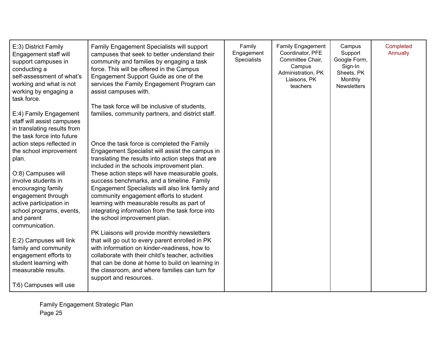| E:3) District Family<br>Engagement staff will<br>support campuses in<br>conducting a<br>self-assessment of what's<br>working and what is not<br>working by engaging a<br>task force. | Family Engagement Specialists will support<br>campuses that seek to better understand their<br>community and families by engaging a task<br>force. This will be offered in the Campus<br>Engagement Support Guide as one of the<br>services the Family Engagement Program can<br>assist campuses with.                                | Family<br>Engagement<br><b>Specialists</b> | <b>Family Engagement</b><br>Coordinator, PFE<br>Committee Chair,<br>Campus<br>Administration, PK<br>Liaisons, PK<br>teachers | Campus<br>Support<br>Google Form,<br>Sign-In<br>Sheets, PK<br>Monthly<br><b>Newsletters</b> | Completed<br>Annually |
|--------------------------------------------------------------------------------------------------------------------------------------------------------------------------------------|---------------------------------------------------------------------------------------------------------------------------------------------------------------------------------------------------------------------------------------------------------------------------------------------------------------------------------------|--------------------------------------------|------------------------------------------------------------------------------------------------------------------------------|---------------------------------------------------------------------------------------------|-----------------------|
| E:4) Family Engagement<br>staff will assist campuses<br>in translating results from<br>the task force into future                                                                    | The task force will be inclusive of students,<br>families, community partners, and district staff.                                                                                                                                                                                                                                    |                                            |                                                                                                                              |                                                                                             |                       |
| action steps reflected in<br>the school improvement<br>plan.                                                                                                                         | Once the task force is completed the Family<br>Engagement Specialist will assist the campus in<br>translating the results into action steps that are<br>included in the schools improvement plan.                                                                                                                                     |                                            |                                                                                                                              |                                                                                             |                       |
| O:8) Campuses will<br>involve students in<br>encouraging family<br>engagement through<br>active participation in                                                                     | These action steps will have measurable goals,<br>success benchmarks, and a timeline. Family<br>Engagement Specialists will also link family and<br>community engagement efforts to student<br>learning with measurable results as part of<br>integrating information from the task force into                                        |                                            |                                                                                                                              |                                                                                             |                       |
| school programs, events,<br>and parent<br>communication.                                                                                                                             | the school improvement plan.                                                                                                                                                                                                                                                                                                          |                                            |                                                                                                                              |                                                                                             |                       |
| E:2) Campuses will link<br>family and community<br>engagement efforts to<br>student learning with<br>measurable results.                                                             | PK Liaisons will provide monthly newsletters<br>that will go out to every parent enrolled in PK<br>with information on kinder-readiness, how to<br>collaborate with their child's teacher, activities<br>that can be done at home to build on learning in<br>the classroom, and where families can turn for<br>support and resources. |                                            |                                                                                                                              |                                                                                             |                       |
| T:6) Campuses will use                                                                                                                                                               |                                                                                                                                                                                                                                                                                                                                       |                                            |                                                                                                                              |                                                                                             |                       |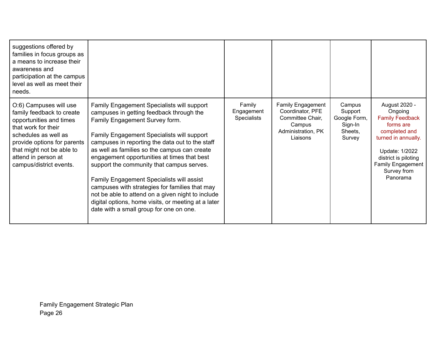| suggestions offered by<br>families in focus groups as<br>a means to increase their<br>awareness and<br>participation at the campus<br>level as well as meet their<br>needs.                                                                 |                                                                                                                                                                                                                                                                                                                                                                                                                                                                                                                                                                                                                             |                                            |                                                                                                              |                                                                   |                                                                                                                                                                                                          |
|---------------------------------------------------------------------------------------------------------------------------------------------------------------------------------------------------------------------------------------------|-----------------------------------------------------------------------------------------------------------------------------------------------------------------------------------------------------------------------------------------------------------------------------------------------------------------------------------------------------------------------------------------------------------------------------------------------------------------------------------------------------------------------------------------------------------------------------------------------------------------------------|--------------------------------------------|--------------------------------------------------------------------------------------------------------------|-------------------------------------------------------------------|----------------------------------------------------------------------------------------------------------------------------------------------------------------------------------------------------------|
| O:6) Campuses will use<br>family feedback to create<br>opportunities and times<br>that work for their<br>schedules as well as<br>provide options for parents<br>that might not be able to<br>attend in person at<br>campus/district events. | Family Engagement Specialists will support<br>campuses in getting feedback through the<br>Family Engagement Survey form.<br>Family Engagement Specialists will support<br>campuses in reporting the data out to the staff<br>as well as families so the campus can create<br>engagement opportunities at times that best<br>support the community that campus serves.<br>Family Engagement Specialists will assist<br>campuses with strategies for families that may<br>not be able to attend on a given night to include<br>digital options, home visits, or meeting at a later<br>date with a small group for one on one. | Family<br>Engagement<br><b>Specialists</b> | <b>Family Engagement</b><br>Coordinator, PFE<br>Committee Chair.<br>Campus<br>Administration, PK<br>Liaisons | Campus<br>Support<br>Google Form,<br>Sign-In<br>Sheets,<br>Survey | August 2020 -<br>Ongoing<br><b>Family Feedback</b><br>forms are<br>completed and<br>turned in annually.<br>Update: 1/2022<br>district is piloting<br><b>Family Engagement</b><br>Survey from<br>Panorama |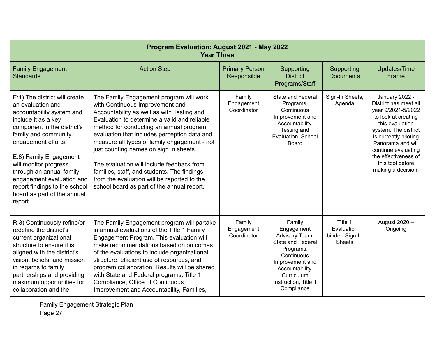| Program Evaluation: August 2021 - May 2022<br><b>Year Three</b>                                                                                                                                                                                                                                                                                                             |                                                                                                                                                                                                                                                                                                                                                                                                                                                                                                                                                        |                                      |                                                                                                                                                                                         |                                                           |                                                                                                                                                                                                                                                                        |  |
|-----------------------------------------------------------------------------------------------------------------------------------------------------------------------------------------------------------------------------------------------------------------------------------------------------------------------------------------------------------------------------|--------------------------------------------------------------------------------------------------------------------------------------------------------------------------------------------------------------------------------------------------------------------------------------------------------------------------------------------------------------------------------------------------------------------------------------------------------------------------------------------------------------------------------------------------------|--------------------------------------|-----------------------------------------------------------------------------------------------------------------------------------------------------------------------------------------|-----------------------------------------------------------|------------------------------------------------------------------------------------------------------------------------------------------------------------------------------------------------------------------------------------------------------------------------|--|
| <b>Family Engagement</b><br><b>Standards</b>                                                                                                                                                                                                                                                                                                                                | <b>Action Step</b>                                                                                                                                                                                                                                                                                                                                                                                                                                                                                                                                     | <b>Primary Person</b><br>Responsible | Supporting<br><b>District</b><br>Programs/Staff                                                                                                                                         | Supporting<br><b>Documents</b>                            | <b>Updates/Time</b><br>Frame                                                                                                                                                                                                                                           |  |
| E:1) The district will create<br>an evaluation and<br>accountability system and<br>include it as a key<br>component in the district's<br>family and community<br>engagement efforts.<br>E:8) Family Engagement<br>will monitor progress<br>through an annual family<br>engagement evaluation and<br>report findings to the school<br>board as part of the annual<br>report. | The Family Engagement program will work<br>with Continuous Improvement and<br>Accountability as well as with Testing and<br>Evaluation to determine a valid and reliable<br>method for conducting an annual program<br>evaluation that includes perception data and<br>measure all types of family engagement - not<br>just counting names on sign in sheets.<br>The evaluation will include feedback from<br>families, staff, and students. The findings<br>from the evaluation will be reported to the<br>school board as part of the annual report. | Family<br>Engagement<br>Coordinator  | <b>State and Federal</b><br>Programs,<br>Continuous<br>Improvement and<br>Accountability,<br>Testing and<br>Evaluation, School<br><b>Board</b>                                          | Sign-In Sheets,<br>Agenda                                 | January 2022 -<br>District has meet all<br>year 9/2021-5/2022<br>to look at creating<br>this evaluation<br>system. The district<br>is currently piloting<br>Panorama and will<br>continue evaluating<br>the effectiveness of<br>this tool before<br>making a decision. |  |
| R:3) Continuously refine/or<br>redefine the district's<br>current organizational<br>structure to ensure it is<br>aligned with the district's<br>vision, beliefs, and mission<br>in regards to family<br>partnerships and providing<br>maximum opportunities for<br>collaboration and the                                                                                    | The Family Engagement program will partake<br>in annual evaluations of the Title 1 Family<br>Engagement Program. This evaluation will<br>make recommendations based on outcomes<br>of the evaluations to include organizational<br>structure, efficient use of resources, and<br>program collaboration. Results will be shared<br>with State and Federal programs, Title 1<br>Compliance, Office of Continuous<br>Improvement and Accountability, Families,                                                                                            | Family<br>Engagement<br>Coordinator  | Family<br>Engagement<br>Advisory Team,<br><b>State and Federal</b><br>Programs,<br>Continuous<br>Improvement and<br>Accountability,<br>Curriculum<br>Instruction, Title 1<br>Compliance | Title 1<br>Evaluation<br>binder, Sign-In<br><b>Sheets</b> | August 2020 -<br>Ongoing                                                                                                                                                                                                                                               |  |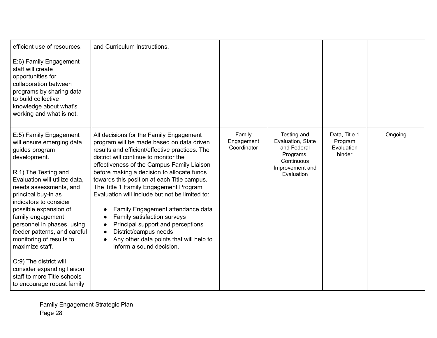| efficient use of resources.                                                                                                                                                                                                                                                                                                                                                                                                                                                                               | and Curriculum Instructions.                                                                                                                                                                                                                                                                                                                                                                                                                                                                                                                                                                                                   |                                     |                                                                                                             |                                                  |         |
|-----------------------------------------------------------------------------------------------------------------------------------------------------------------------------------------------------------------------------------------------------------------------------------------------------------------------------------------------------------------------------------------------------------------------------------------------------------------------------------------------------------|--------------------------------------------------------------------------------------------------------------------------------------------------------------------------------------------------------------------------------------------------------------------------------------------------------------------------------------------------------------------------------------------------------------------------------------------------------------------------------------------------------------------------------------------------------------------------------------------------------------------------------|-------------------------------------|-------------------------------------------------------------------------------------------------------------|--------------------------------------------------|---------|
| E:6) Family Engagement<br>staff will create<br>opportunities for<br>collaboration between<br>programs by sharing data<br>to build collective<br>knowledge about what's<br>working and what is not.                                                                                                                                                                                                                                                                                                        |                                                                                                                                                                                                                                                                                                                                                                                                                                                                                                                                                                                                                                |                                     |                                                                                                             |                                                  |         |
| E:5) Family Engagement<br>will ensure emerging data<br>guides program<br>development.<br>R:1) The Testing and<br>Evaluation will utilize data,<br>needs assessments, and<br>principal buy-in as<br>indicators to consider<br>possible expansion of<br>family engagement<br>personnel in phases, using<br>feeder patterns, and careful<br>monitoring of results to<br>maximize staff.<br>O:9) The district will<br>consider expanding liaison<br>staff to more Title schools<br>to encourage robust family | All decisions for the Family Engagement<br>program will be made based on data driven<br>results and efficient/effective practices. The<br>district will continue to monitor the<br>effectiveness of the Campus Family Liaison<br>before making a decision to allocate funds<br>towards this position at each Title campus.<br>The Title 1 Family Engagement Program<br>Evaluation will include but not be limited to:<br>Family Engagement attendance data<br>Family satisfaction surveys<br>Principal support and perceptions<br>District/campus needs<br>Any other data points that will help to<br>inform a sound decision. | Family<br>Engagement<br>Coordinator | Testing and<br>Evaluation, State<br>and Federal<br>Programs,<br>Continuous<br>Improvement and<br>Evaluation | Data, Title 1<br>Program<br>Evaluation<br>binder | Ongoing |